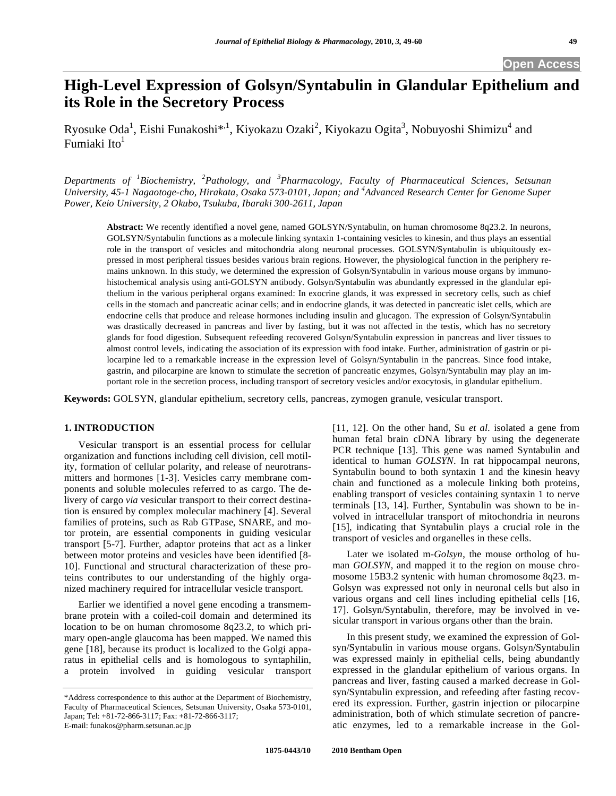# **High-Level Expression of Golsyn/Syntabulin in Glandular Epithelium and its Role in the Secretory Process**

Ryosuke Oda<sup>1</sup>, Eishi Funakoshi $^{*,1}$ , Kiyokazu Ozaki<sup>2</sup>, Kiyokazu Ogita<sup>3</sup>, Nobuyoshi Shimizu<sup>4</sup> and Fumiaki Ito $<sup>1</sup>$ </sup>

*Departments of <sup>1</sup> Biochemistry, <sup>2</sup> Pathology, and <sup>3</sup> Pharmacology, Faculty of Pharmaceutical Sciences, Setsunan University, 45-1 Nagaotoge-cho, Hirakata, Osaka 573-0101, Japan; and <sup>4</sup> Advanced Research Center for Genome Super Power, Keio University, 2 Okubo, Tsukuba, Ibaraki 300-2611, Japan* 

**Abstract:** We recently identified a novel gene, named GOLSYN/Syntabulin, on human chromosome 8q23.2. In neurons, GOLSYN/Syntabulin functions as a molecule linking syntaxin 1-containing vesicles to kinesin, and thus plays an essential role in the transport of vesicles and mitochondria along neuronal processes. GOLSYN/Syntabulin is ubiquitously expressed in most peripheral tissues besides various brain regions. However, the physiological function in the periphery remains unknown. In this study, we determined the expression of Golsyn/Syntabulin in various mouse organs by immunohistochemical analysis using anti-GOLSYN antibody. Golsyn/Syntabulin was abundantly expressed in the glandular epithelium in the various peripheral organs examined: In exocrine glands, it was expressed in secretory cells, such as chief cells in the stomach and pancreatic acinar cells; and in endocrine glands, it was detected in pancreatic islet cells, which are endocrine cells that produce and release hormones including insulin and glucagon. The expression of Golsyn/Syntabulin was drastically decreased in pancreas and liver by fasting, but it was not affected in the testis, which has no secretory glands for food digestion. Subsequent refeeding recovered Golsyn/Syntabulin expression in pancreas and liver tissues to almost control levels, indicating the association of its expression with food intake. Further, administration of gastrin or pilocarpine led to a remarkable increase in the expression level of Golsyn/Syntabulin in the pancreas. Since food intake, gastrin, and pilocarpine are known to stimulate the secretion of pancreatic enzymes, Golsyn/Syntabulin may play an important role in the secretion process, including transport of secretory vesicles and/or exocytosis, in glandular epithelium.

**Keywords:** GOLSYN, glandular epithelium, secretory cells, pancreas, zymogen granule, vesicular transport.

## **1. INTRODUCTION**

 Vesicular transport is an essential process for cellular organization and functions including cell division, cell motility, formation of cellular polarity, and release of neurotransmitters and hormones [1-3]. Vesicles carry membrane components and soluble molecules referred to as cargo. The delivery of cargo *via* vesicular transport to their correct destination is ensured by complex molecular machinery [4]. Several families of proteins, such as Rab GTPase, SNARE, and motor protein, are essential components in guiding vesicular transport [5-7]. Further, adaptor proteins that act as a linker between motor proteins and vesicles have been identified [8- 10]. Functional and structural characterization of these proteins contributes to our understanding of the highly organized machinery required for intracellular vesicle transport.

 Earlier we identified a novel gene encoding a transmembrane protein with a coiled-coil domain and determined its location to be on human chromosome 8q23.2, to which primary open-angle glaucoma has been mapped. We named this gene [18], because its product is localized to the Golgi apparatus in epithelial cells and is homologous to syntaphilin, a protein involved in guiding vesicular transport [11, 12]. On the other hand, Su *et al*. isolated a gene from human fetal brain cDNA library by using the degenerate PCR technique [13]. This gene was named Syntabulin and identical to human *GOLSYN*. In rat hippocampal neurons, Syntabulin bound to both syntaxin 1 and the kinesin heavy chain and functioned as a molecule linking both proteins, enabling transport of vesicles containing syntaxin 1 to nerve terminals [13, 14]. Further, Syntabulin was shown to be involved in intracellular transport of mitochondria in neurons [15], indicating that Syntabulin plays a crucial role in the transport of vesicles and organelles in these cells.

 Later we isolated m-*Golsyn*, the mouse ortholog of human *GOLSYN*, and mapped it to the region on mouse chromosome 15B3.2 syntenic with human chromosome 8q23. m-Golsyn was expressed not only in neuronal cells but also in various organs and cell lines including epithelial cells [16, 17]. Golsyn/Syntabulin, therefore, may be involved in vesicular transport in various organs other than the brain.

 In this present study, we examined the expression of Golsyn/Syntabulin in various mouse organs. Golsyn/Syntabulin was expressed mainly in epithelial cells, being abundantly expressed in the glandular epithelium of various organs. In pancreas and liver, fasting caused a marked decrease in Golsyn/Syntabulin expression, and refeeding after fasting recovered its expression. Further, gastrin injection or pilocarpine administration, both of which stimulate secretion of pancreatic enzymes, led to a remarkable increase in the Gol-

<sup>\*</sup>Address correspondence to this author at the Department of Biochemistry, Faculty of Pharmaceutical Sciences, Setsunan University, Osaka 573-0101, Japan; Tel: +81-72-866-3117; Fax: +81-72-866-3117; E-mail: funakos@pharm.setsunan.ac.jp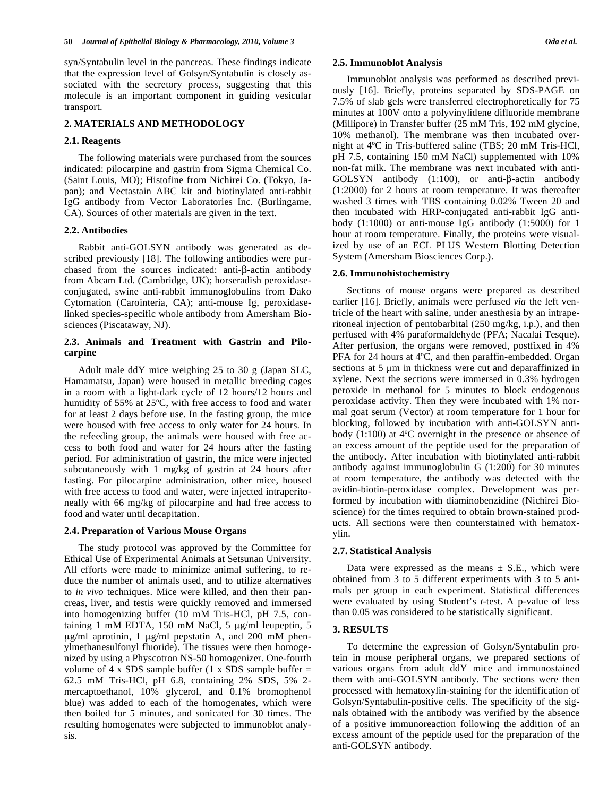syn/Syntabulin level in the pancreas. These findings indicate that the expression level of Golsyn/Syntabulin is closely associated with the secretory process, suggesting that this molecule is an important component in guiding vesicular transport.

## **2. MATERIALS AND METHODOLOGY**

#### **2.1. Reagents**

 The following materials were purchased from the sources indicated: pilocarpine and gastrin from Sigma Chemical Co. (Saint Louis, MO); Histofine from Nichirei Co. (Tokyo, Japan); and Vectastain ABC kit and biotinylated anti-rabbit IgG antibody from Vector Laboratories Inc. (Burlingame, CA). Sources of other materials are given in the text.

## **2.2. Antibodies**

 Rabbit anti-GOLSYN antibody was generated as described previously [18]. The following antibodies were purchased from the sources indicated: anti- $\beta$ -actin antibody from Abcam Ltd. (Cambridge, UK); horseradish peroxidaseconjugated, swine anti-rabbit immunoglobulins from Dako Cytomation (Carointeria, CA); anti-mouse Ig, peroxidaselinked species-specific whole antibody from Amersham Biosciences (Piscataway, NJ).

## **2.3. Animals and Treatment with Gastrin and Pilocarpine**

 Adult male ddY mice weighing 25 to 30 g (Japan SLC, Hamamatsu, Japan) were housed in metallic breeding cages in a room with a light-dark cycle of 12 hours/12 hours and humidity of 55% at 25ºC, with free access to food and water for at least 2 days before use. In the fasting group, the mice were housed with free access to only water for 24 hours. In the refeeding group, the animals were housed with free access to both food and water for 24 hours after the fasting period. For administration of gastrin, the mice were injected subcutaneously with 1 mg/kg of gastrin at 24 hours after fasting. For pilocarpine administration, other mice, housed with free access to food and water, were injected intraperitoneally with 66 mg/kg of pilocarpine and had free access to food and water until decapitation.

## **2.4. Preparation of Various Mouse Organs**

 The study protocol was approved by the Committee for Ethical Use of Experimental Animals at Setsunan University. All efforts were made to minimize animal suffering, to reduce the number of animals used, and to utilize alternatives to *in vivo* techniques. Mice were killed, and then their pancreas, liver, and testis were quickly removed and immersed into homogenizing buffer (10 mM Tris-HCl, pH 7.5, containing 1 mM EDTA, 150 mM NaCl, 5  $\mu$ g/ml leupeptin, 5  $\mu$ g/ml aprotinin, 1  $\mu$ g/ml pepstatin A, and 200 mM phenylmethanesulfonyl fluoride). The tissues were then homogenized by using a Physcotron NS-50 homogenizer. One-fourth volume of 4 x SDS sample buffer  $(1 \times$  SDS sample buffer = 62.5 mM Tris-HCl, pH 6.8, containing 2% SDS, 5% 2 mercaptoethanol, 10% glycerol, and 0.1% bromophenol blue) was added to each of the homogenates, which were then boiled for 5 minutes, and sonicated for 30 times. The resulting homogenates were subjected to immunoblot analysis.

#### **2.5. Immunoblot Analysis**

 Immunoblot analysis was performed as described previously [16]. Briefly, proteins separated by SDS-PAGE on 7.5% of slab gels were transferred electrophoretically for 75 minutes at 100V onto a polyvinylidene difluoride membrane (Millipore) in Transfer buffer (25 mM Tris, 192 mM glycine, 10% methanol). The membrane was then incubated overnight at 4ºC in Tris-buffered saline (TBS; 20 mM Tris-HCl, pH 7.5, containing 150 mM NaCl) supplemented with 10% non-fat milk. The membrane was next incubated with anti-GOLSYN antibody  $(1:100)$ , or anti- $\beta$ -actin antibody (1:2000) for 2 hours at room temperature. It was thereafter washed 3 times with TBS containing 0.02% Tween 20 and then incubated with HRP-conjugated anti-rabbit IgG antibody (1:1000) or anti-mouse IgG antibody (1:5000) for 1 hour at room temperature. Finally, the proteins were visualized by use of an ECL PLUS Western Blotting Detection System (Amersham Biosciences Corp.).

#### **2.6. Immunohistochemistry**

 Sections of mouse organs were prepared as described earlier [16]. Briefly, animals were perfused *via* the left ventricle of the heart with saline, under anesthesia by an intraperitoneal injection of pentobarbital (250 mg/kg, i.p.), and then perfused with 4% paraformaldehyde (PFA; Nacalai Tesque). After perfusion, the organs were removed, postfixed in 4% PFA for 24 hours at 4ºC, and then paraffin-embedded. Organ sections at 5 µm in thickness were cut and deparaffinized in xylene. Next the sections were immersed in 0.3% hydrogen peroxide in methanol for 5 minutes to block endogenous peroxidase activity. Then they were incubated with 1% normal goat serum (Vector) at room temperature for 1 hour for blocking, followed by incubation with anti-GOLSYN antibody (1:100) at 4ºC overnight in the presence or absence of an excess amount of the peptide used for the preparation of the antibody. After incubation with biotinylated anti-rabbit antibody against immunoglobulin G (1:200) for 30 minutes at room temperature, the antibody was detected with the avidin-biotin-peroxidase complex. Development was performed by incubation with diaminobenzidine (Nichirei Bioscience) for the times required to obtain brown-stained products. All sections were then counterstained with hematoxylin.

#### **2.7. Statistical Analysis**

Data were expressed as the means  $\pm$  S.E., which were obtained from 3 to 5 different experiments with 3 to 5 animals per group in each experiment. Statistical differences were evaluated by using Student's *t*-test. A p-value of less than 0.05 was considered to be statistically significant.

#### **3. RESULTS**

 To determine the expression of Golsyn/Syntabulin protein in mouse peripheral organs, we prepared sections of various organs from adult ddY mice and immunostained them with anti-GOLSYN antibody. The sections were then processed with hematoxylin-staining for the identification of Golsyn/Syntabulin-positive cells. The specificity of the signals obtained with the antibody was verified by the absence of a positive immunoreaction following the addition of an excess amount of the peptide used for the preparation of the anti-GOLSYN antibody.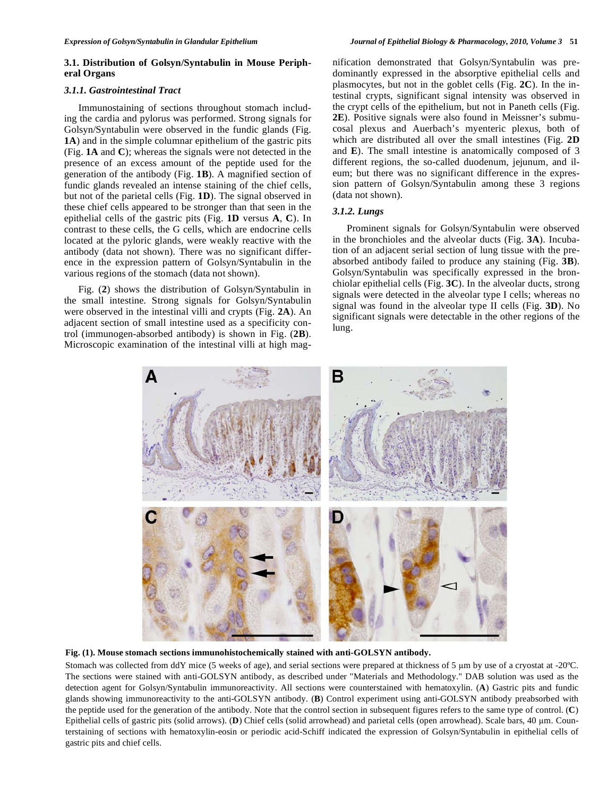# **3.1. Distribution of Golsyn/Syntabulin in Mouse Peripheral Organs**

# *3.1.1. Gastrointestinal Tract*

 Immunostaining of sections throughout stomach including the cardia and pylorus was performed. Strong signals for Golsyn/Syntabulin were observed in the fundic glands (Fig. **1A**) and in the simple columnar epithelium of the gastric pits (Fig. **1A** and **C**); whereas the signals were not detected in the presence of an excess amount of the peptide used for the generation of the antibody (Fig. **1B**). A magnified section of fundic glands revealed an intense staining of the chief cells, but not of the parietal cells (Fig. **1D**). The signal observed in these chief cells appeared to be stronger than that seen in the epithelial cells of the gastric pits (Fig. **1D** versus **A**, **C**). In contrast to these cells, the G cells, which are endocrine cells located at the pyloric glands, were weakly reactive with the antibody (data not shown). There was no significant difference in the expression pattern of Golsyn/Syntabulin in the various regions of the stomach (data not shown).

 Fig. (**2**) shows the distribution of Golsyn/Syntabulin in the small intestine. Strong signals for Golsyn/Syntabulin were observed in the intestinal villi and crypts (Fig. **2A**). An adjacent section of small intestine used as a specificity control (immunogen-absorbed antibody) is shown in Fig. (**2B**). Microscopic examination of the intestinal villi at high magnification demonstrated that Golsyn/Syntabulin was predominantly expressed in the absorptive epithelial cells and plasmocytes, but not in the goblet cells (Fig. **2C**). In the intestinal crypts, significant signal intensity was observed in the crypt cells of the epithelium, but not in Paneth cells (Fig. **2E**). Positive signals were also found in Meissner's submucosal plexus and Auerbach's myenteric plexus, both of which are distributed all over the small intestines (Fig. **2D** and **E**). The small intestine is anatomically composed of 3 different regions, the so-called duodenum, jejunum, and ileum; but there was no significant difference in the expression pattern of Golsyn/Syntabulin among these 3 regions (data not shown).

## *3.1.2. Lungs*

 Prominent signals for Golsyn/Syntabulin were observed in the bronchioles and the alveolar ducts (Fig. **3A**). Incubation of an adjacent serial section of lung tissue with the preabsorbed antibody failed to produce any staining (Fig. **3B**). Golsyn/Syntabulin was specifically expressed in the bronchiolar epithelial cells (Fig. **3C**). In the alveolar ducts, strong signals were detected in the alveolar type I cells; whereas no signal was found in the alveolar type II cells (Fig. **3D**). No significant signals were detectable in the other regions of the lung.



**Fig. (1). Mouse stomach sections immunohistochemically stained with anti-GOLSYN antibody.** 

Stomach was collected from ddY mice (5 weeks of age), and serial sections were prepared at thickness of 5 µm by use of a cryostat at -20°C. The sections were stained with anti-GOLSYN antibody, as described under "Materials and Methodology." DAB solution was used as the detection agent for Golsyn/Syntabulin immunoreactivity. All sections were counterstained with hematoxylin. (**A**) Gastric pits and fundic glands showing immunoreactivity to the anti-GOLSYN antibody. (**B**) Control experiment using anti-GOLSYN antibody preabsorbed with the peptide used for the generation of the antibody. Note that the control section in subsequent figures refers to the same type of control. (**C**) Epithelial cells of gastric pits (solid arrows). (D) Chief cells (solid arrowhead) and parietal cells (open arrowhead). Scale bars, 40  $\mu$ m. Counterstaining of sections with hematoxylin-eosin or periodic acid-Schiff indicated the expression of Golsyn/Syntabulin in epithelial cells of gastric pits and chief cells.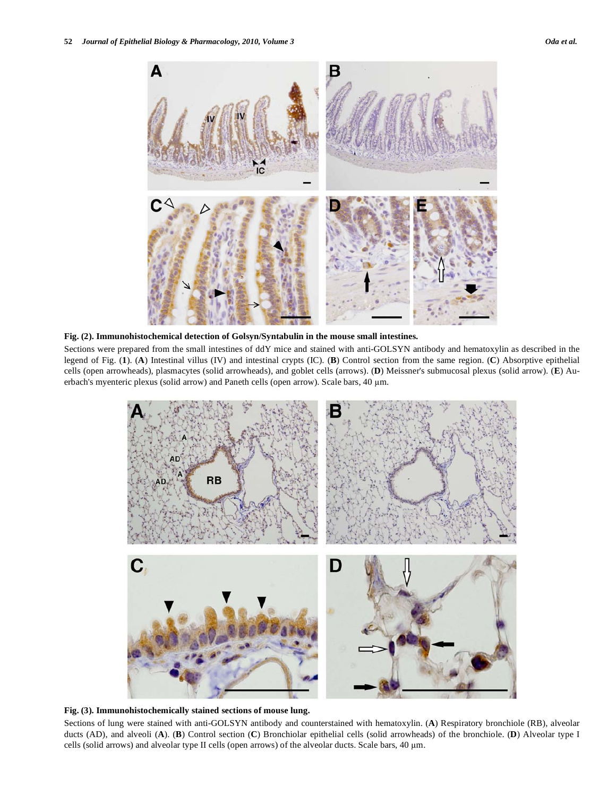

**Fig. (2). Immunohistochemical detection of Golsyn/Syntabulin in the mouse small intestines.** 

Sections were prepared from the small intestines of ddY mice and stained with anti-GOLSYN antibody and hematoxylin as described in the legend of Fig. (**1**). (**A**) Intestinal villus (IV) and intestinal crypts (IC). (**B**) Control section from the same region. (**C**) Absorptive epithelial cells (open arrowheads), plasmacytes (solid arrowheads), and goblet cells (arrows). (**D**) Meissner's submucosal plexus (solid arrow). (**E**) Auerbach's myenteric plexus (solid arrow) and Paneth cells (open arrow). Scale bars, 40 m.



**Fig. (3). Immunohistochemically stained sections of mouse lung.** 

Sections of lung were stained with anti-GOLSYN antibody and counterstained with hematoxylin. (**A**) Respiratory bronchiole (RB), alveolar ducts (AD), and alveoli (**A**). (**B**) Control section (**C**) Bronchiolar epithelial cells (solid arrowheads) of the bronchiole. (**D**) Alveolar type I cells (solid arrows) and alveolar type II cells (open arrows) of the alveolar ducts. Scale bars, 40 m.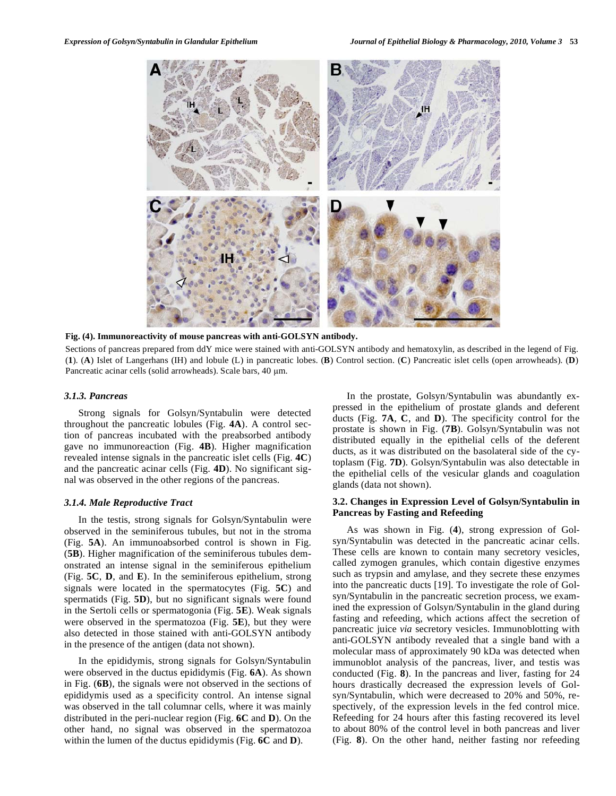

**Fig. (4). Immunoreactivity of mouse pancreas with anti-GOLSYN antibody.** 

Sections of pancreas prepared from ddY mice were stained with anti-GOLSYN antibody and hematoxylin, as described in the legend of Fig. (**1**). (**A**) Islet of Langerhans (IH) and lobule (L) in pancreatic lobes. (**B**) Control section. (**C**) Pancreatic islet cells (open arrowheads). (**D**) Pancreatic acinar cells (solid arrowheads). Scale bars, 40 µm.

#### *3.1.3. Pancreas*

 Strong signals for Golsyn/Syntabulin were detected throughout the pancreatic lobules (Fig. **4A**). A control section of pancreas incubated with the preabsorbed antibody gave no immunoreaction (Fig. **4B**). Higher magnification revealed intense signals in the pancreatic islet cells (Fig. **4C**) and the pancreatic acinar cells (Fig. **4D**). No significant signal was observed in the other regions of the pancreas.

## *3.1.4. Male Reproductive Tract*

 In the testis, strong signals for Golsyn/Syntabulin were observed in the seminiferous tubules, but not in the stroma (Fig. **5A**). An immunoabsorbed control is shown in Fig. (**5B**). Higher magnification of the seminiferous tubules demonstrated an intense signal in the seminiferous epithelium (Fig. **5C**, **D**, and **E**). In the seminiferous epithelium, strong signals were located in the spermatocytes (Fig. **5C**) and spermatids (Fig. **5D**), but no significant signals were found in the Sertoli cells or spermatogonia (Fig. **5E**). Weak signals were observed in the spermatozoa (Fig. **5E**), but they were also detected in those stained with anti-GOLSYN antibody in the presence of the antigen (data not shown).

 In the epididymis, strong signals for Golsyn/Syntabulin were observed in the ductus epididymis (Fig. **6A**). As shown in Fig. (**6B**), the signals were not observed in the sections of epididymis used as a specificity control. An intense signal was observed in the tall columnar cells, where it was mainly distributed in the peri-nuclear region (Fig. **6C** and **D**). On the other hand, no signal was observed in the spermatozoa within the lumen of the ductus epididymis (Fig. **6C** and **D**).

 In the prostate, Golsyn/Syntabulin was abundantly expressed in the epithelium of prostate glands and deferent ducts (Fig. **7A**, **C**, and **D**). The specificity control for the prostate is shown in Fig. (**7B**). Golsyn/Syntabulin was not distributed equally in the epithelial cells of the deferent ducts, as it was distributed on the basolateral side of the cytoplasm (Fig. **7D**). Golsyn/Syntabulin was also detectable in the epithelial cells of the vesicular glands and coagulation glands (data not shown).

## **3.2. Changes in Expression Level of Golsyn/Syntabulin in Pancreas by Fasting and Refeeding**

 As was shown in Fig. (**4**), strong expression of Golsyn/Syntabulin was detected in the pancreatic acinar cells. These cells are known to contain many secretory vesicles, called zymogen granules, which contain digestive enzymes such as trypsin and amylase, and they secrete these enzymes into the pancreatic ducts [19]. To investigate the role of Golsyn/Syntabulin in the pancreatic secretion process, we examined the expression of Golsyn/Syntabulin in the gland during fasting and refeeding, which actions affect the secretion of pancreatic juice *via* secretory vesicles. Immunoblotting with anti-GOLSYN antibody revealed that a single band with a molecular mass of approximately 90 kDa was detected when immunoblot analysis of the pancreas, liver, and testis was conducted (Fig. **8**). In the pancreas and liver, fasting for 24 hours drastically decreased the expression levels of Golsyn/Syntabulin, which were decreased to 20% and 50%, respectively, of the expression levels in the fed control mice. Refeeding for 24 hours after this fasting recovered its level to about 80% of the control level in both pancreas and liver (Fig. **8**). On the other hand, neither fasting nor refeeding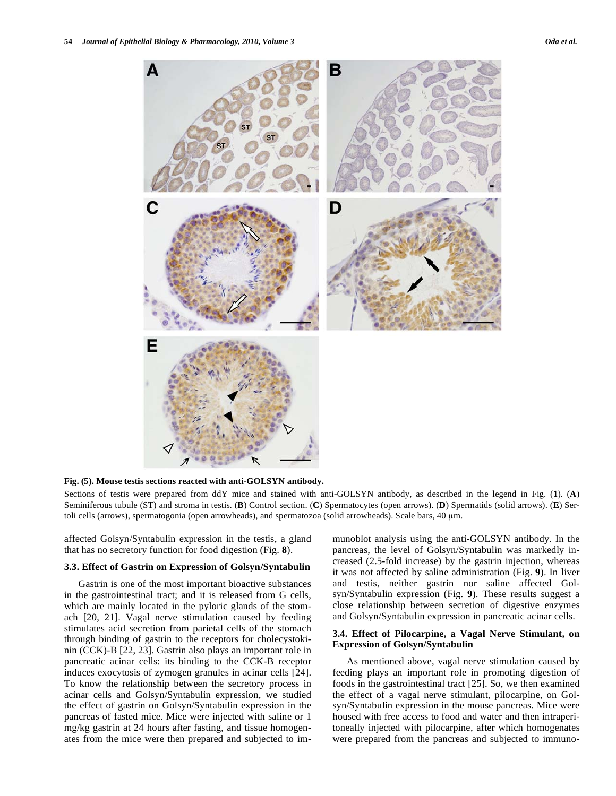

**Fig. (5). Mouse testis sections reacted with anti-GOLSYN antibody.** 

Sections of testis were prepared from ddY mice and stained with anti-GOLSYN antibody, as described in the legend in Fig. (**1**). (**A**) Seminiferous tubule (ST) and stroma in testis. (**B**) Control section. (**C**) Spermatocytes (open arrows). (**D**) Spermatids (solid arrows). (**E**) Sertoli cells (arrows), spermatogonia (open arrowheads), and spermatozoa (solid arrowheads). Scale bars, 40 m.

affected Golsyn/Syntabulin expression in the testis, a gland that has no secretory function for food digestion (Fig. **8**).

#### **3.3. Effect of Gastrin on Expression of Golsyn/Syntabulin**

 Gastrin is one of the most important bioactive substances in the gastrointestinal tract; and it is released from G cells, which are mainly located in the pyloric glands of the stomach [20, 21]. Vagal nerve stimulation caused by feeding stimulates acid secretion from parietal cells of the stomach through binding of gastrin to the receptors for cholecystokinin (CCK)-B [22, 23]. Gastrin also plays an important role in pancreatic acinar cells: its binding to the CCK-B receptor induces exocytosis of zymogen granules in acinar cells [24]. To know the relationship between the secretory process in acinar cells and Golsyn/Syntabulin expression, we studied the effect of gastrin on Golsyn/Syntabulin expression in the pancreas of fasted mice. Mice were injected with saline or 1 mg/kg gastrin at 24 hours after fasting, and tissue homogenates from the mice were then prepared and subjected to immunoblot analysis using the anti-GOLSYN antibody. In the pancreas, the level of Golsyn/Syntabulin was markedly increased (2.5-fold increase) by the gastrin injection, whereas it was not affected by saline administration (Fig. **9**). In liver and testis, neither gastrin nor saline affected Golsyn/Syntabulin expression (Fig. **9**). These results suggest a close relationship between secretion of digestive enzymes and Golsyn/Syntabulin expression in pancreatic acinar cells.

#### **3.4. Effect of Pilocarpine, a Vagal Nerve Stimulant, on Expression of Golsyn/Syntabulin**

 As mentioned above, vagal nerve stimulation caused by feeding plays an important role in promoting digestion of foods in the gastrointestinal tract [25]. So, we then examined the effect of a vagal nerve stimulant, pilocarpine, on Golsyn/Syntabulin expression in the mouse pancreas. Mice were housed with free access to food and water and then intraperitoneally injected with pilocarpine, after which homogenates were prepared from the pancreas and subjected to immuno-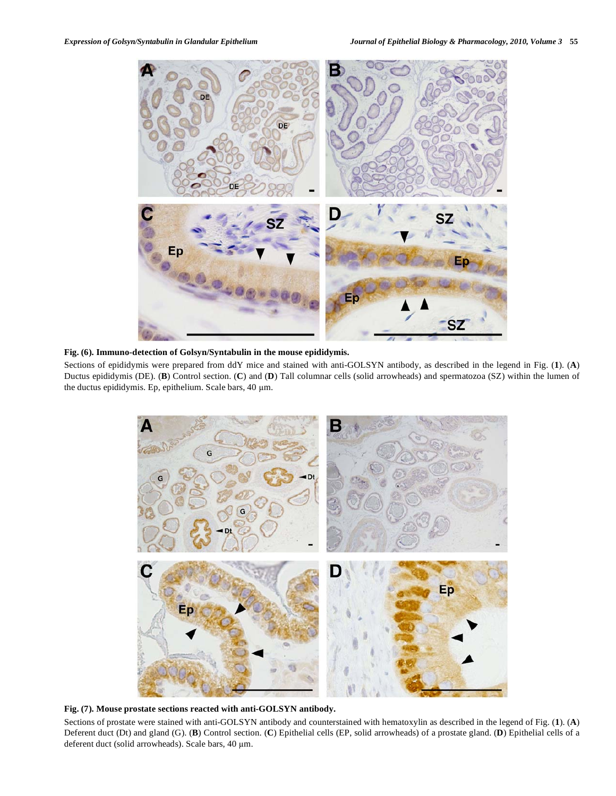

## **Fig. (6). Immuno-detection of Golsyn/Syntabulin in the mouse epididymis.**

Sections of epididymis were prepared from ddY mice and stained with anti-GOLSYN antibody, as described in the legend in Fig. (**1**). (**A**) Ductus epididymis (DE). (**B**) Control section. (**C**) and (**D**) Tall columnar cells (solid arrowheads) and spermatozoa (SZ) within the lumen of the ductus epididymis. Ep, epithelium. Scale bars, 40 µm.



# **Fig. (7). Mouse prostate sections reacted with anti-GOLSYN antibody.**

Sections of prostate were stained with anti-GOLSYN antibody and counterstained with hematoxylin as described in the legend of Fig. (**1**). (**A**) Deferent duct (Dt) and gland (G). (**B**) Control section. (**C**) Epithelial cells (EP, solid arrowheads) of a prostate gland. (**D**) Epithelial cells of a deferent duct (solid arrowheads). Scale bars, 40 µm.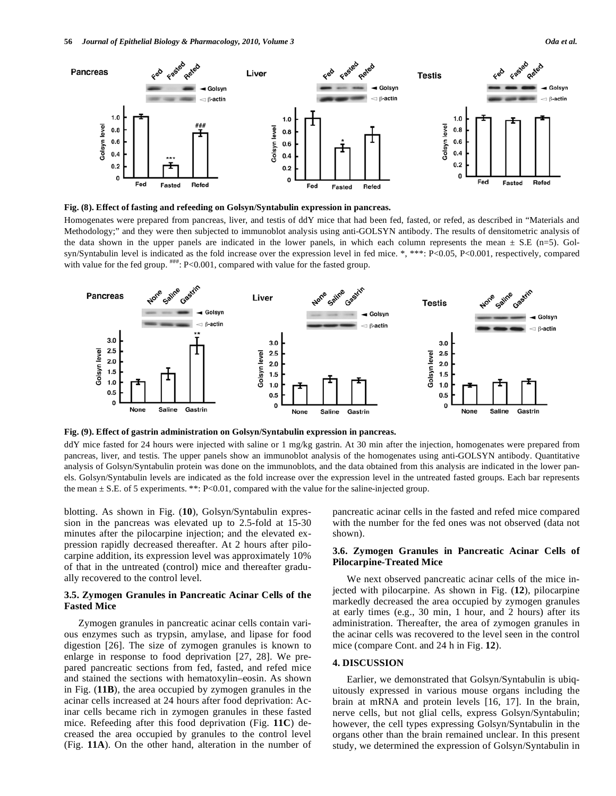

**Fig. (8). Effect of fasting and refeeding on Golsyn/Syntabulin expression in pancreas.** 

Homogenates were prepared from pancreas, liver, and testis of ddY mice that had been fed, fasted, or refed, as described in "Materials and Methodology;" and they were then subjected to immunoblot analysis using anti-GOLSYN antibody. The results of densitometric analysis of the data shown in the upper panels are indicated in the lower panels, in which each column represents the mean  $\pm$  S.E (n=5). Golsyn/Syntabulin level is indicated as the fold increase over the expression level in fed mice. \*, \*\*\*: P<0.05, P<0.001, respectively, compared with value for the fed group.  $\frac{***}{}$ : P<0.001, compared with value for the fasted group.



**Fig. (9). Effect of gastrin administration on Golsyn/Syntabulin expression in pancreas.** 

ddY mice fasted for 24 hours were injected with saline or 1 mg/kg gastrin. At 30 min after the injection, homogenates were prepared from pancreas, liver, and testis. The upper panels show an immunoblot analysis of the homogenates using anti-GOLSYN antibody. Quantitative analysis of Golsyn/Syntabulin protein was done on the immunoblots, and the data obtained from this analysis are indicated in the lower panels. Golsyn/Syntabulin levels are indicated as the fold increase over the expression level in the untreated fasted groups. Each bar represents the mean  $\pm$  S.E. of 5 experiments. \*\*: P<0.01, compared with the value for the saline-injected group.

blotting. As shown in Fig. (**10**), Golsyn/Syntabulin expression in the pancreas was elevated up to 2.5-fold at 15-30 minutes after the pilocarpine injection; and the elevated expression rapidly decreased thereafter. At 2 hours after pilocarpine addition, its expression level was approximately 10% of that in the untreated (control) mice and thereafter gradually recovered to the control level.

# **3.5. Zymogen Granules in Pancreatic Acinar Cells of the Fasted Mice**

 Zymogen granules in pancreatic acinar cells contain various enzymes such as trypsin, amylase, and lipase for food digestion [26]. The size of zymogen granules is known to enlarge in response to food deprivation [27, 28]. We prepared pancreatic sections from fed, fasted, and refed mice and stained the sections with hematoxylin–eosin. As shown in Fig. (**11B**), the area occupied by zymogen granules in the acinar cells increased at 24 hours after food deprivation: Acinar cells became rich in zymogen granules in these fasted mice. Refeeding after this food deprivation (Fig. **11C**) decreased the area occupied by granules to the control level (Fig. **11A**). On the other hand, alteration in the number of pancreatic acinar cells in the fasted and refed mice compared with the number for the fed ones was not observed (data not shown).

# **3.6. Zymogen Granules in Pancreatic Acinar Cells of Pilocarpine-Treated Mice**

 We next observed pancreatic acinar cells of the mice injected with pilocarpine. As shown in Fig. (**12**), pilocarpine markedly decreased the area occupied by zymogen granules at early times (e.g., 30 min, 1 hour, and 2 hours) after its administration. Thereafter, the area of zymogen granules in the acinar cells was recovered to the level seen in the control mice (compare Cont. and 24 h in Fig. **12**).

# **4. DISCUSSION**

 Earlier, we demonstrated that Golsyn/Syntabulin is ubiquitously expressed in various mouse organs including the brain at mRNA and protein levels [16, 17]. In the brain, nerve cells, but not glial cells, express Golsyn/Syntabulin; however, the cell types expressing Golsyn/Syntabulin in the organs other than the brain remained unclear. In this present study, we determined the expression of Golsyn/Syntabulin in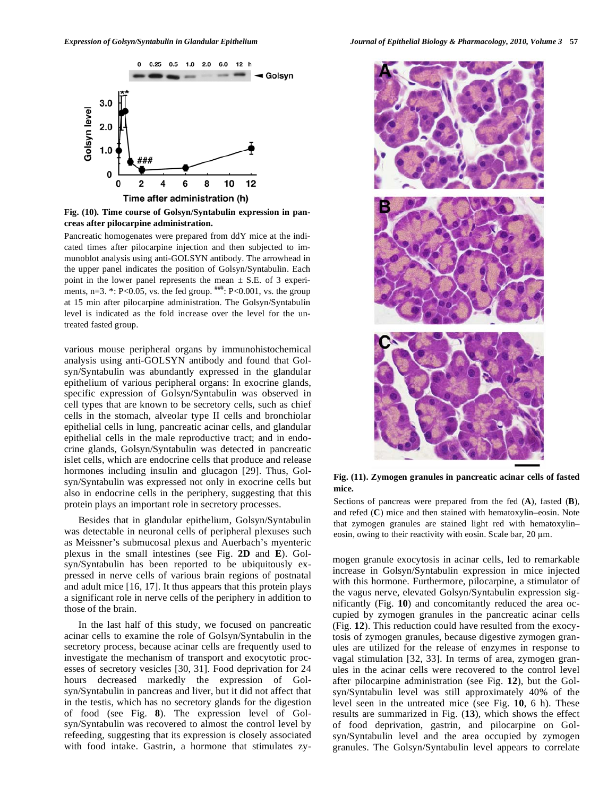

**Fig. (10). Time course of Golsyn/Syntabulin expression in pancreas after pilocarpine administration.** 

Pancreatic homogenates were prepared from ddY mice at the indicated times after pilocarpine injection and then subjected to immunoblot analysis using anti-GOLSYN antibody. The arrowhead in the upper panel indicates the position of Golsyn/Syntabulin. Each point in the lower panel represents the mean  $\pm$  S.E. of 3 experiments, n=3.  $*$ : P<0.05, vs. the fed group.  $^{#}_{#}$ : P<0.001, vs. the group at 15 min after pilocarpine administration. The Golsyn/Syntabulin level is indicated as the fold increase over the level for the untreated fasted group.

various mouse peripheral organs by immunohistochemical analysis using anti-GOLSYN antibody and found that Golsyn/Syntabulin was abundantly expressed in the glandular epithelium of various peripheral organs: In exocrine glands, specific expression of Golsyn/Syntabulin was observed in cell types that are known to be secretory cells, such as chief cells in the stomach, alveolar type II cells and bronchiolar epithelial cells in lung, pancreatic acinar cells, and glandular epithelial cells in the male reproductive tract; and in endocrine glands, Golsyn/Syntabulin was detected in pancreatic islet cells, which are endocrine cells that produce and release hormones including insulin and glucagon [29]. Thus, Golsyn/Syntabulin was expressed not only in exocrine cells but also in endocrine cells in the periphery, suggesting that this protein plays an important role in secretory processes.

 Besides that in glandular epithelium, Golsyn/Syntabulin was detectable in neuronal cells of peripheral plexuses such as Meissner's submucosal plexus and Auerbach's myenteric plexus in the small intestines (see Fig. **2D** and **E**). Golsyn/Syntabulin has been reported to be ubiquitously expressed in nerve cells of various brain regions of postnatal and adult mice [16, 17]. It thus appears that this protein plays a significant role in nerve cells of the periphery in addition to those of the brain.

 In the last half of this study, we focused on pancreatic acinar cells to examine the role of Golsyn/Syntabulin in the secretory process, because acinar cells are frequently used to investigate the mechanism of transport and exocytotic processes of secretory vesicles [30, 31]. Food deprivation for 24 hours decreased markedly the expression of Golsyn/Syntabulin in pancreas and liver, but it did not affect that in the testis, which has no secretory glands for the digestion of food (see Fig. **8**). The expression level of Golsyn/Syntabulin was recovered to almost the control level by refeeding, suggesting that its expression is closely associated with food intake. Gastrin, a hormone that stimulates zy-



**Fig. (11). Zymogen granules in pancreatic acinar cells of fasted mice.** 

Sections of pancreas were prepared from the fed (**A**), fasted (**B**), and refed (**C**) mice and then stained with hematoxylin–eosin. Note that zymogen granules are stained light red with hematoxylin– eosin, owing to their reactivity with eosin. Scale bar,  $20 \mu m$ .

mogen granule exocytosis in acinar cells, led to remarkable increase in Golsyn/Syntabulin expression in mice injected with this hormone. Furthermore, pilocarpine, a stimulator of the vagus nerve, elevated Golsyn/Syntabulin expression significantly (Fig. **10**) and concomitantly reduced the area occupied by zymogen granules in the pancreatic acinar cells (Fig. **12**). This reduction could have resulted from the exocytosis of zymogen granules, because digestive zymogen granules are utilized for the release of enzymes in response to vagal stimulation [32, 33]. In terms of area, zymogen granules in the acinar cells were recovered to the control level after pilocarpine administration (see Fig. **12**), but the Golsyn/Syntabulin level was still approximately 40% of the level seen in the untreated mice (see Fig. **10**, 6 h). These results are summarized in Fig. (**13**), which shows the effect of food deprivation, gastrin, and pilocarpine on Golsyn/Syntabulin level and the area occupied by zymogen granules. The Golsyn/Syntabulin level appears to correlate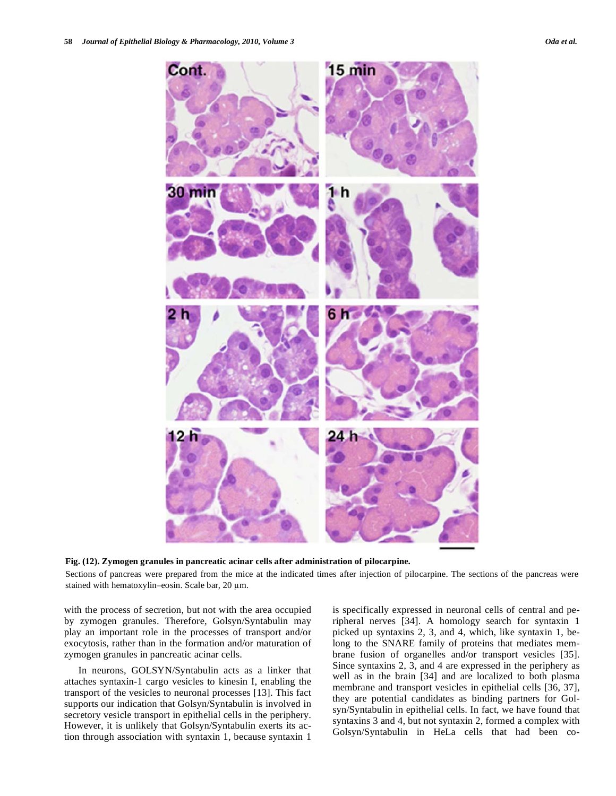



Sections of pancreas were prepared from the mice at the indicated times after injection of pilocarpine. The sections of the pancreas were stained with hematoxylin–eosin. Scale bar,  $20 \mu m$ .

with the process of secretion, but not with the area occupied by zymogen granules. Therefore, Golsyn/Syntabulin may play an important role in the processes of transport and/or exocytosis, rather than in the formation and/or maturation of zymogen granules in pancreatic acinar cells.

 In neurons, GOLSYN/Syntabulin acts as a linker that attaches syntaxin-1 cargo vesicles to kinesin I, enabling the transport of the vesicles to neuronal processes [13]. This fact supports our indication that Golsyn/Syntabulin is involved in secretory vesicle transport in epithelial cells in the periphery. However, it is unlikely that Golsyn/Syntabulin exerts its action through association with syntaxin 1, because syntaxin 1 is specifically expressed in neuronal cells of central and peripheral nerves [34]. A homology search for syntaxin 1 picked up syntaxins 2, 3, and 4, which, like syntaxin 1, belong to the SNARE family of proteins that mediates membrane fusion of organelles and/or transport vesicles [35]. Since syntaxins 2, 3, and 4 are expressed in the periphery as well as in the brain [34] and are localized to both plasma membrane and transport vesicles in epithelial cells [36, 37], they are potential candidates as binding partners for Golsyn/Syntabulin in epithelial cells. In fact, we have found that syntaxins 3 and 4, but not syntaxin 2, formed a complex with Golsyn/Syntabulin in HeLa cells that had been co-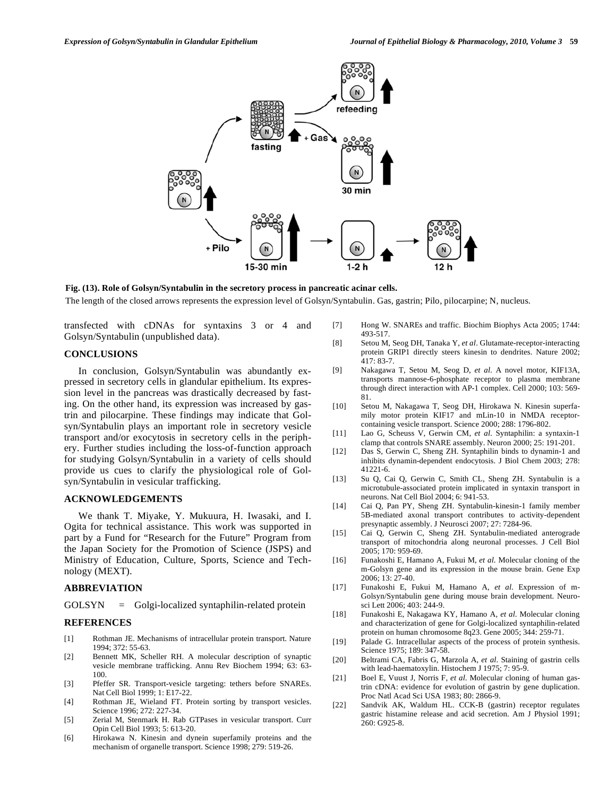

**Fig. (13). Role of Golsyn/Syntabulin in the secretory process in pancreatic acinar cells.**  The length of the closed arrows represents the expression level of Golsyn/Syntabulin. Gas, gastrin; Pilo, pilocarpine; N, nucleus.

transfected with cDNAs for syntaxins 3 or 4 and Golsyn/Syntabulin (unpublished data).

# **CONCLUSIONS**

 In conclusion, Golsyn/Syntabulin was abundantly expressed in secretory cells in glandular epithelium. Its expression level in the pancreas was drastically decreased by fasting. On the other hand, its expression was increased by gastrin and pilocarpine. These findings may indicate that Golsyn/Syntabulin plays an important role in secretory vesicle transport and/or exocytosis in secretory cells in the periphery. Further studies including the loss-of-function approach for studying Golsyn/Syntabulin in a variety of cells should provide us cues to clarify the physiological role of Golsyn/Syntabulin in vesicular trafficking.

## **ACKNOWLEDGEMENTS**

 We thank T. Miyake, Y. Mukuura, H. Iwasaki, and I. Ogita for technical assistance. This work was supported in part by a Fund for "Research for the Future" Program from the Japan Society for the Promotion of Science (JSPS) and Ministry of Education, Culture, Sports, Science and Technology (MEXT).

#### **ABBREVIATION**

GOLSYN = Golgi-localized syntaphilin-related protein

#### **REFERENCES**

- [1] Rothman JE. Mechanisms of intracellular protein transport. Nature 1994; 372: 55-63.
- [2] Bennett MK, Scheller RH. A molecular description of synaptic vesicle membrane trafficking. Annu Rev Biochem 1994; 63: 63- 100.
- [3] Pfeffer SR. Transport-vesicle targeting: tethers before SNAREs. Nat Cell Biol 1999; 1: E17-22.
- [4] Rothman JE, Wieland FT. Protein sorting by transport vesicles. Science 1996; 272: 227-34.
- [5] Zerial M, Stenmark H. Rab GTPases in vesicular transport. Curr Opin Cell Biol 1993; 5: 613-20.
- [6] Hirokawa N. Kinesin and dynein superfamily proteins and the mechanism of organelle transport. Science 1998; 279: 519-26.
- [7] Hong W. SNAREs and traffic. Biochim Biophys Acta 2005; 1744: 493-517.
- [8] Setou M, Seog DH, Tanaka Y, *et al*. Glutamate-receptor-interacting protein GRIP1 directly steers kinesin to dendrites. Nature 2002; 417: 83-7.
- [9] Nakagawa T, Setou M, Seog D, *et al*. A novel motor, KIF13A, transports mannose-6-phosphate receptor to plasma membrane through direct interaction with AP-1 complex. Cell 2000; 103: 569- 81.
- [10] Setou M, Nakagawa T, Seog DH, Hirokawa N. Kinesin superfamily motor protein KIF17 and mLin-10 in NMDA receptorcontaining vesicle transport. Science 2000; 288: 1796-802.
- [11] Lao G, Scheuss V, Gerwin CM, *et al*. Syntaphilin: a syntaxin-1 clamp that controls SNARE assembly. Neuron 2000; 25: 191-201.
- [12] Das S, Gerwin C, Sheng ZH. Syntaphilin binds to dynamin-1 and inhibits dynamin-dependent endocytosis. J Biol Chem 2003; 278: 41221-6.
- [13] Su Q, Cai Q, Gerwin C, Smith CL, Sheng ZH. Syntabulin is a microtubule-associated protein implicated in syntaxin transport in neurons. Nat Cell Biol 2004; 6: 941-53.
- [14] Cai Q, Pan PY, Sheng ZH. Syntabulin-kinesin-1 family member 5B-mediated axonal transport contributes to activity-dependent presynaptic assembly. J Neurosci 2007; 27: 7284-96.
- [15] Cai Q, Gerwin C, Sheng ZH. Syntabulin-mediated anterograde transport of mitochondria along neuronal processes. J Cell Biol 2005; 170: 959-69.
- [16] Funakoshi E, Hamano A, Fukui M, *et al*. Molecular cloning of the m-Golsyn gene and its expression in the mouse brain. Gene Exp 2006; 13: 27-40.
- [17] Funakoshi E, Fukui M, Hamano A, *et al*. Expression of m-Golsyn/Syntabulin gene during mouse brain development. Neurosci Lett 2006; 403: 244-9.
- [18] Funakoshi E, Nakagawa KY, Hamano A, *et al*. Molecular cloning and characterization of gene for Golgi-localized syntaphilin-related protein on human chromosome 8q23. Gene 2005; 344: 259-71.
- [19] Palade G. Intracellular aspects of the process of protein synthesis. Science 1975; 189: 347-58.
- [20] Beltrami CA, Fabris G, Marzola A, *et al*. Staining of gastrin cells with lead-haematoxylin. Histochem J 1975; 7: 95-9.
- [21] Boel E, Vuust J, Norris F, *et al*. Molecular cloning of human gastrin cDNA: evidence for evolution of gastrin by gene duplication. Proc Natl Acad Sci USA 1983; 80: 2866-9.
- [22] Sandvik AK, Waldum HL. CCK-B (gastrin) receptor regulates gastric histamine release and acid secretion. Am J Physiol 1991; 260: G925-8.